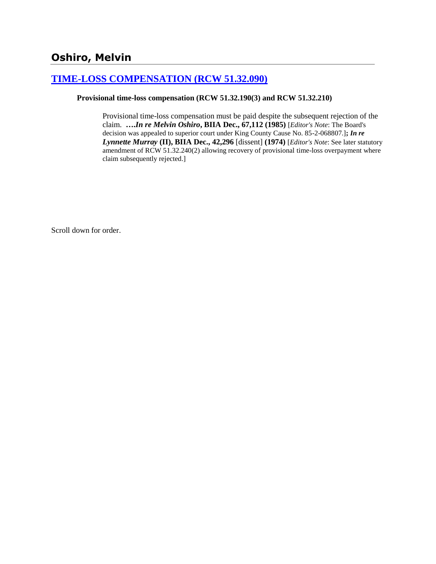# **Oshiro, Melvin**

## **[TIME-LOSS COMPENSATION \(RCW 51.32.090\)](http://www.biia.wa.gov/SDSubjectIndex.html#TIME_LOSS_COMPENSATION)**

### **Provisional time-loss compensation (RCW 51.32.190(3) and RCW 51.32.210)**

Provisional time-loss compensation must be paid despite the subsequent rejection of the claim. **….***In re Melvin Oshiro***, BIIA Dec., 67,112 (1985)** [*Editor's Note*: The Board's decision was appealed to superior court under King County Cause No. 85-2-068807.]**;** *In re Lynnette Murray* **(II), BIIA Dec., 42,296** [dissent] **(1974)** [*Editor's Note*: See later statutory amendment of RCW 51.32.240(2) allowing recovery of provisional time-loss overpayment where claim subsequently rejected.]

Scroll down for order.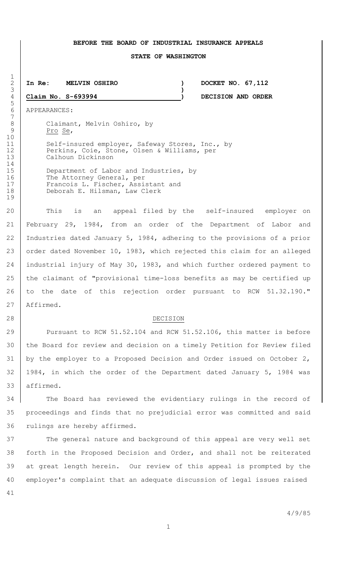#### **BEFORE THE BOARD OF INDUSTRIAL INSURANCE APPEALS**

#### **STATE OF WASHINGTON**

 **In Re: MELVIN OSHIRO ) DOCKET NO. 67,112 Claim No. S-693994 ) DECISION AND ORDER**

APPEARANCES:

8 Claimant, Melvin Oshiro, by<br>9 Pro Se, Pro Se,

**)**

11 | Self-insured employer, Safeway Stores, Inc., by Perkins, Coie, Stone, Olsen & Williams, per Calhoun Dickinson

15 Department of Labor and Industries, by 16 The Attorney General, per 17 Francois L. Fischer, Assistant and Deborah E. Hilsman, Law Clerk

20 This is an appeal filed by the self-insured employer on February 29, 1984, from an order of the Department of Labor and Industries dated January 5, 1984, adhering to the provisions of a prior 23 order dated November 10, 1983, which rejected this claim for an alleged industrial injury of May 30, 1983, and which further ordered payment to 25 the claimant of "provisional time-loss benefits as may be certified up 26 to the date of this rejection order pursuant to RCW 51.32.190." Affirmed.

#### 28 DECISION

**Pursuant to RCW 51.52.104 and RCW 51.52.106, this matter is before**  the Board for review and decision on a timely Petition for Review filed 31 by the employer to a Proposed Decision and Order issued on October 2, 1984, in which the order of the Department dated January 5, 1984 was affirmed.

34 The Board has reviewed the evidentiary rulings in the record of proceedings and finds that no prejudicial error was committed and said rulings are hereby affirmed.

 The general nature and background of this appeal are very well set forth in the Proposed Decision and Order, and shall not be reiterated at great length herein. Our review of this appeal is prompted by the employer's complaint that an adequate discussion of legal issues raised 

 $\frac{1}{2}$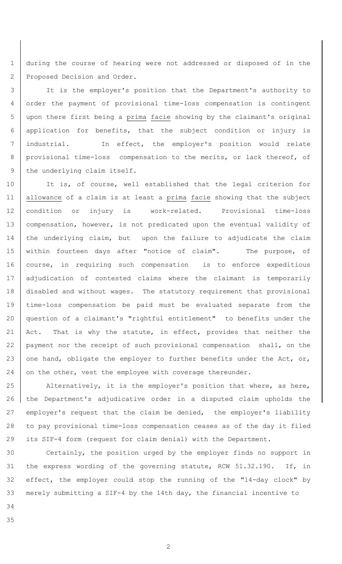1 during the course of hearing were not addressed or disposed of in the 2 Proposed Decision and Order.

 It is the employer's position that the Department's authority to order the payment of provisional time-loss compensation is contingent upon there first being a prima facie showing by the claimant's original application for benefits, that the subject condition or injury is industrial. In effect, the employer's position would relate 8 | provisional time-loss compensation to the merits, or lack thereof, of 9 the underlying claim itself.

10 It is, of course, well established that the legal criterion for 11 | allowance of a claim is at least a prima facie showing that the subject 12 | condition or injury is work-related. Provisional time-loss 13 | compensation, however, is not predicated upon the eventual validity of 14 | the underlying claim, but upon the failure to adjudicate the claim 15 within fourteen days after "notice of claim". The purpose, of 16 | course, in requiring such compensation is to enforce expeditious 17 | adjudication of contested claims where the claimant is temporarily 18 disabled and without wages. The statutory requirement that provisional 19 time-loss compensation be paid must be evaluated separate from the 20 question of a claimant's "rightful entitlement" to benefits under the 21 | Act. That is why the statute, in effect, provides that neither the 22 payment nor the receipt of such provisional compensation shall, on the 23 one hand, obligate the employer to further benefits under the Act, or, 24 on the other, vest the employee with coverage thereunder.

25 Alternatively, it is the employer's position that where, as here, 26 the Department's adjudicative order in a disputed claim upholds the 27 employer's request that the claim be denied, the employer's liability 28 to pay provisional time-loss compensation ceases as of the day it filed 29 its SIF-4 form (request for claim denial) with the Department.

 Certainly, the position urged by the employer finds no support in the express wording of the governing statute, RCW 51.32.190. If, in effect, the employer could stop the running of the "14-day clock" by merely submitting a SIF-4 by the 14th day, the financial incentive to

- 34
- 35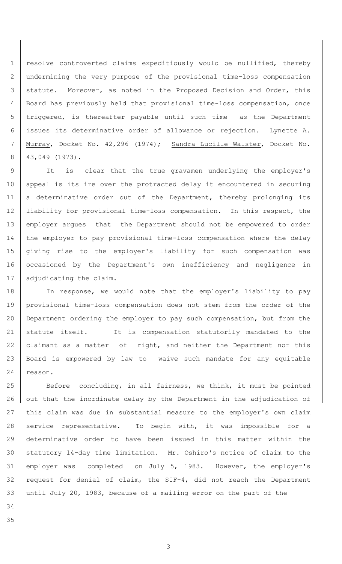resolve controverted claims expeditiously would be nullified, thereby undermining the very purpose of the provisional time-loss compensation 3 statute. Moreover, as noted in the Proposed Decision and Order, this Board has previously held that provisional time-loss compensation, once triggered, is thereafter payable until such time as the Department issues its determinative order of allowance or rejection. Lynette A. Murray, Docket No. 42,296 (1974); Sandra Lucille Walster, Docket No. 43,049 (1973).

 It is clear that the true gravamen underlying the employer's 10 | appeal is its ire over the protracted delay it encountered in securing 11 a determinative order out of the Department, thereby prolonging its liability for provisional time-loss compensation. In this respect, the employer argues that the Department should not be empowered to order the employer to pay provisional time-loss compensation where the delay giving rise to the employer's liability for such compensation was 16 | occasioned by the Department's own inefficiency and negligence in 17 | adjudicating the claim.

18 | In response, we would note that the employer's liability to pay provisional time-loss compensation does not stem from the order of the Department ordering the employer to pay such compensation, but from the statute itself. It is compensation statutorily mandated to the 22 claimant as a matter of right, and neither the Department nor this Board is empowered by law to waive such mandate for any equitable 24 reason.

25 Before concluding, in all fairness, we think, it must be pointed 26 | out that the inordinate delay by the Department in the adjudication of this claim was due in substantial measure to the employer's own claim service representative. To begin with, it was impossible for a determinative order to have been issued in this matter within the statutory 14-day time limitation. Mr. Oshiro's notice of claim to the employer was completed on July 5, 1983. However, the employer's request for denial of claim, the SIF-4, did not reach the Department until July 20, 1983, because of a mailing error on the part of the

- 
-